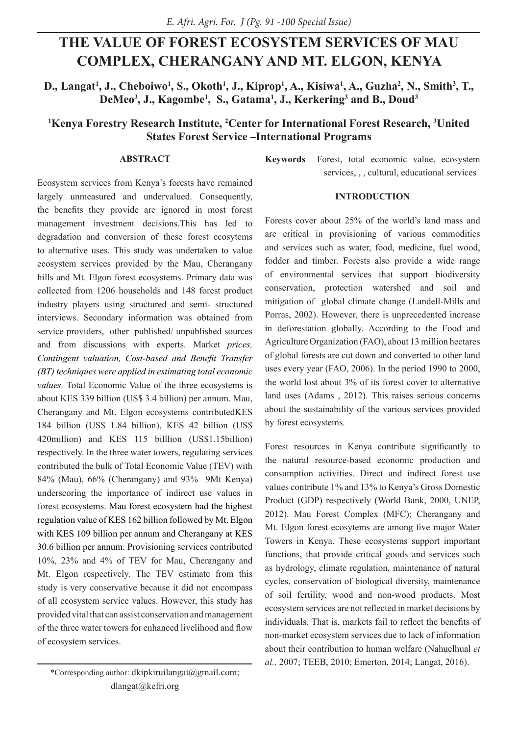# **THE VALUE OF FOREST ECOSYSTEM SERVICES OF MAU COMPLEX, CHERANGANY AND MT. ELGON, KENYA**

**D., Langat<sup>1</sup>, J., Cheboiwo<sup>1</sup>, S., Okoth<sup>1</sup>, J., Kiprop<sup>1</sup>, A., Kisiwa<sup>1</sup>, A., Guzha<sup>2</sup>, N., Smith<sup>3</sup>, T., DeMeo3 , J., Kagombe1 , S., Gatama1 , J., Kerkering3 and B., Doud3**

# <sup>1</sup>Kenya Forestry Research Institute, <sup>2</sup>Center for International Forest Research, <sup>3</sup>United **States Forest Service –International Programs**

## **ABSTRACT**

Ecosystem services from Kenya's forests have remained largely unmeasured and undervalued. Consequently, the benefits they provide are ignored in most forest management investment decisions.This has led to degradation and conversion of these forest ecosytems to alternative uses. This study was undertaken to value ecosystem services provided by the Mau, Cherangany hills and Mt. Elgon forest ecosystems. Primary data was collected from 1206 households and 148 forest product industry players using structured and semi- structured interviews. Secondary information was obtained from service providers, other published/ unpublished sources and from discussions with experts. Market *prices, Contingent valuation, Cost-based and Benefit Transfer (BT) techniques were applied in estimating total economic values.* Total Economic Value of the three ecosystems is about KES 339 billion (US\$ 3.4 billion) per annum. Mau, Cherangany and Mt. Elgon ecosystems contributedKES 184 billion (US\$ 1.84 billion), KES 42 billion (US\$ 420million) and KES 115 billlion (US\$1.15billion) respectively. In the three water towers, regulating services contributed the bulk of Total Economic Value (TEV) with 84% (Mau), 66% (Cherangany) and 93% 9Mt Kenya) underscoring the importance of indirect use values in forest ecosystems. Mau forest ecosystem had the highest regulation value of KES 162 billion followed by Mt. Elgon with KES 109 billion per annum and Cherangany at KES 30.6 billion per annum. Provisioning services contributed 10%, 23% and 4% of TEV for Mau, Cherangany and Mt. Elgon respectively. The TEV estimate from this study is very conservative because it did not encompass of all ecosystem service values. However, this study has provided vital that can assist conservation and management of the three water towers for enhanced livelihood and flow of ecosystem services.

**Keywords** Forest, total economic value, ecosystem services, , , cultural, educational services

### **INTRODUCTION**

Forests cover about 25% of the world's land mass and are critical in provisioning of various commodities and services such as water, food, medicine, fuel wood, fodder and timber. Forests also provide a wide range of environmental services that support biodiversity conservation, protection watershed and soil and mitigation of global climate change (Landell-Mills and Porras, 2002). However, there is unprecedented increase in deforestation globally. According to the Food and Agriculture Organization (FAO), about 13 million hectares of global forests are cut down and converted to other land uses every year (FAO, 2006). In the period 1990 to 2000, the world lost about 3% of its forest cover to alternative land uses (Adams , 2012). This raises serious concerns about the sustainability of the various services provided by forest ecosystems.

Forest resources in Kenya contribute significantly to the natural resource-based economic production and consumption activities. Direct and indirect forest use values contribute 1% and 13% to Kenya's Gross Domestic Product (GDP) respectively (World Bank, 2000, UNEP, 2012). Mau Forest Complex (MFC); Cherangany and Mt. Elgon forest ecosytems are among five major Water Towers in Kenya. These ecosystems support important functions, that provide critical goods and services such as hydrology, climate regulation, maintenance of natural cycles, conservation of biological diversity, maintenance of soil fertility, wood and non-wood products. Most ecosystem services are not reflected in market decisions by individuals. That is, markets fail to reflect the benefits of non-market ecosystem services due to lack of information about their contribution to human welfare (Nahuelhual *et al.,* 2007; TEEB, 2010; Emerton, 2014; Langat, 2016).

<sup>\*</sup>Corresponding author: dkipkiruilangat@gmail.com; dlangat@kefri.org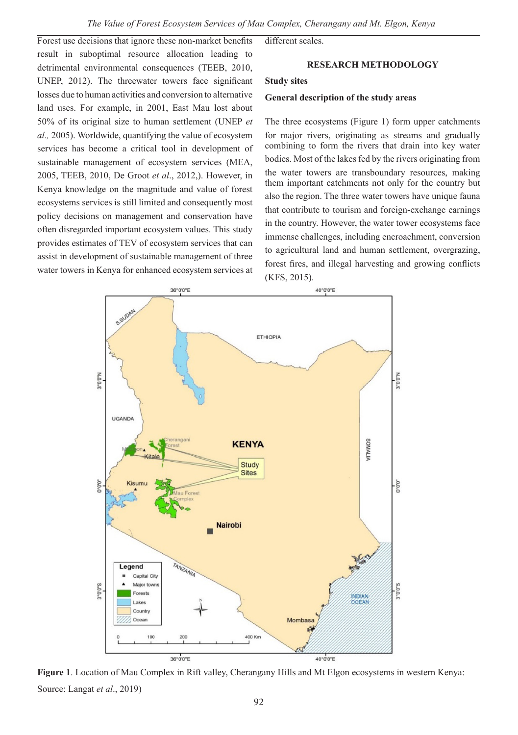Forest use decisions that ignore these non-market benefits result in suboptimal resource allocation leading to detrimental environmental consequences (TEEB, 2010, UNEP, 2012). The threewater towers face significant losses due to human activities and conversion to alternative land uses. For example, in 2001, East Mau lost about 50% of its original size to human settlement (UNEP *et al.,* 2005). Worldwide, quantifying the value of ecosystem services has become a critical tool in development of sustainable management of ecosystem services (MEA, 2005, TEEB, 2010, De Groot *et al*., 2012,). However, in Kenya knowledge on the magnitude and value of forest ecosystems services is still limited and consequently most policy decisions on management and conservation have often disregarded important ecosystem values. This study provides estimates of TEV of ecosystem services that can assist in development of sustainable management of three water towers in Kenya for enhanced ecosystem services at different scales.

### **RESEARCH METHODOLOGY**

#### **Study sites**

#### **General description of the study areas**

The three ecosystems (Figure 1) form upper catchments for major rivers, originating as streams and gradually combining to form the rivers that drain into key water bodies. Most of the lakes fed by the rivers originating from the water towers are transboundary resources, making them important catchments not only for the country but also the region. The three water towers have unique fauna that contribute to tourism and foreign-exchange earnings in the country. However, the water tower ecosystems face immense challenges, including encroachment, conversion to agricultural land and human settlement, overgrazing, forest fires, and illegal harvesting and growing conflicts (KFS, 2015).



**Figure 1**. Location of Mau Complex in Rift valley, Cherangany Hills and Mt Elgon ecosystems in western Kenya: Source: Langat *et al*., 2019)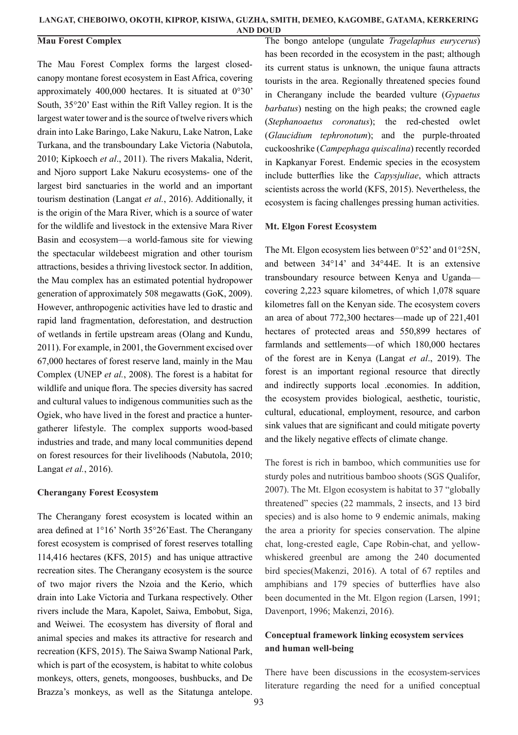## **Mau Forest Complex**

The Mau Forest Complex forms the largest closedcanopy montane forest ecosystem in East Africa, covering approximately 400,000 hectares. It is situated at 0°30' South, 35°20' East within the Rift Valley region. It is the largest water tower and is the source of twelve rivers which drain into Lake Baringo, Lake Nakuru, Lake Natron, Lake Turkana, and the transboundary Lake Victoria (Nabutola, 2010; Kipkoech *et al*., 2011). The rivers Makalia, Nderit, and Njoro support Lake Nakuru ecosystems- one of the largest bird sanctuaries in the world and an important tourism destination (Langat *et al.*, 2016). Additionally, it is the origin of the Mara River, which is a source of water for the wildlife and livestock in the extensive Mara River Basin and ecosystem—a world-famous site for viewing the spectacular wildebeest migration and other tourism attractions, besides a thriving livestock sector. In addition, the Mau complex has an estimated potential hydropower generation of approximately 508 megawatts (GoK, 2009). However, anthropogenic activities have led to drastic and rapid land fragmentation, deforestation, and destruction of wetlands in fertile upstream areas (Olang and Kundu, 2011). For example, in 2001, the Government excised over 67,000 hectares of forest reserve land, mainly in the Mau Complex (UNEP *et al.*, 2008). The forest is a habitat for wildlife and unique flora. The species diversity has sacred and cultural values to indigenous communities such as the Ogiek, who have lived in the forest and practice a huntergatherer lifestyle. The complex supports wood-based industries and trade, and many local communities depend on forest resources for their livelihoods (Nabutola, 2010; Langat *et al.*, 2016).

#### **Cherangany Forest Ecosystem**

The Cherangany forest ecosystem is located within an area defined at 1°16' North 35°26'East. The Cherangany forest ecosystem is comprised of forest reserves totalling 114,416 hectares (KFS, 2015) and has unique attractive recreation sites. The Cherangany ecosystem is the source of two major rivers the Nzoia and the Kerio, which drain into Lake Victoria and Turkana respectively. Other rivers include the Mara, Kapolet, Saiwa, Embobut, Siga, and Weiwei. The ecosystem has diversity of floral and animal species and makes its attractive for research and recreation (KFS, 2015). The Saiwa Swamp National Park, which is part of the ecosystem, is habitat to white colobus monkeys, otters, genets, mongooses, bushbucks, and De Brazza's monkeys, as well as the Sitatunga antelope.

The bongo antelope (ungulate *Tragelaphus eurycerus*) has been recorded in the ecosystem in the past; although its current status is unknown, the unique fauna attracts tourists in the area. Regionally threatened species found in Cherangany include the bearded vulture (*Gypaetus barbatus*) nesting on the high peaks; the crowned eagle (*Stephanoaetus coronatus*); the red-chested owlet (*Glaucidium tephronotum*); and the purple-throated cuckooshrike (*Campephaga quiscalina*) recently recorded in Kapkanyar Forest. Endemic species in the ecosystem include butterflies like the *Capysjuliae*, which attracts scientists across the world (KFS, 2015). Nevertheless, the ecosystem is facing challenges pressing human activities.

## **Mt. Elgon Forest Ecosystem**

The Mt. Elgon ecosystem lies between 0°52' and 01°25N, and between 34°14' and 34°44E. It is an extensive transboundary resource between Kenya and Uganda covering 2,223 square kilometres, of which 1,078 square kilometres fall on the Kenyan side. The ecosystem covers an area of about 772,300 hectares—made up of 221,401 hectares of protected areas and 550,899 hectares of farmlands and settlements—of which 180,000 hectares of the forest are in Kenya (Langat *et al*., 2019). The forest is an important regional resource that directly and indirectly supports local .economies. In addition, the ecosystem provides biological, aesthetic, touristic, cultural, educational, employment, resource, and carbon sink values that are significant and could mitigate poverty and the likely negative effects of climate change.

The forest is rich in bamboo, which communities use for sturdy poles and nutritious bamboo shoots (SGS Qualifor, 2007). The Mt. Elgon ecosystem is habitat to 37 "globally threatened" species (22 mammals, 2 insects, and 13 bird species) and is also home to 9 endemic animals, making the area a priority for species conservation. The alpine chat, long-crested eagle, Cape Robin-chat, and yellowwhiskered greenbul are among the 240 documented bird species(Makenzi, 2016). A total of 67 reptiles and amphibians and 179 species of butterflies have also been documented in the Mt. Elgon region (Larsen, 1991; Davenport, 1996; Makenzi, 2016).

# **Conceptual framework linking ecosystem services and human well-being**

There have been discussions in the ecosystem-services literature regarding the need for a unified conceptual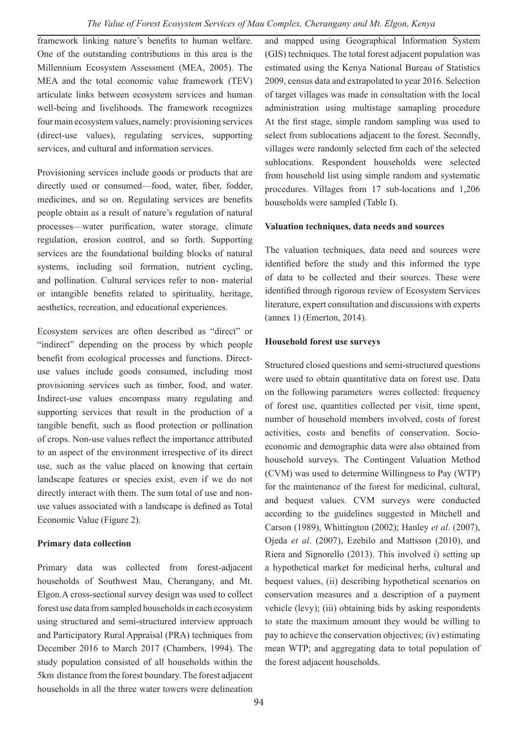framework linking nature's benefits to human welfare. One of the outstanding contributions in this area is the Millennium Ecosystem Assessment (MEA, 2005). The MEA and the total economic value framework (TEV) articulate links between ecosystem services and human well-being and livelihoods. The framework recognizes four main ecosystem values, namely: provisioning services (direct-use values), regulating services, supporting services, and cultural and information services.

Provisioning services include goods or products that are directly used or consumed—food, water, fiber, fodder, medicines, and so on. Regulating services are benefits people obtain as a result of nature's regulation of natural processes—water purification, water storage, climate regulation, erosion control, and so forth. Supporting services are the foundational building blocks of natural systems, including soil formation, nutrient cycling, and pollination. Cultural services refer to non- material or intangible benefits related to spirituality, heritage, aesthetics, recreation, and educational experiences.

Ecosystem services are often described as "direct" or "indirect" depending on the process by which people benefit from ecological processes and functions. Directuse values include goods consumed, including most provisioning services such as timber, food, and water. Indirect-use values encompass many regulating and supporting services that result in the production of a tangible benefit, such as flood protection or pollination of crops. Non-use values reflect the importance attributed to an aspect of the environment irrespective of its direct use, such as the value placed on knowing that certain landscape features or species exist, even if we do not directly interact with them. The sum total of use and nonuse values associated with a landscape is defined as Total Economic Value (Figure 2).

## **Primary data collection**

Primary data was collected from forest-adjacent households of Southwest Mau, Cherangany, and Mt. Elgon.A cross-sectional survey design was used to collect forest use data from sampled households in each ecosystem using structured and semi-structured interview approach and Participatory Rural Appraisal (PRA) techniques from December 2016 to March 2017 (Chambers, 1994). The study population consisted of all households within the 5km distance from the forest boundary. The forest adjacent households in all the three water towers were delineation

and mapped using Geographical Information System (GIS) techniques. The total forest adjacent population was estimated using the Kenya National Bureau of Statistics 2009, census data and extrapolated to year 2016. Selection of target villages was made in consultation with the local administration using multistage samapling procedure At the first stage, simple random sampling was used to select from sublocations adjacent to the forest. Secondly, villages were randomly selected frm each of the selected sublocations. Respondent households were selected from household list using simple random and systematic procedures. Villages from 17 sub-locations and 1,206 households were sampled (Table I).

## **Valuation techniques, data needs and sources**

The valuation techniques, data need and sources were identified before the study and this informed the type of data to be collected and their sources. These were identified through rigorous review of Ecosystem Services literature, expert consultation and discussions with experts (annex 1) (Emerton, 2014).

## **Household forest use surveys**

Structured closed questions and semi-structured questions were used to obtain quantitative data on forest use. Data on the following parameters weres collected: frequency of forest use, quantities collected per visit, time spent, number of household members involved, costs of forest activities, costs and benefits of conservation. Socioeconomic and demographic data were also obtained from household surveys. The Contingent Valuation Method (CVM) was used to determine Willingness to Pay (WTP) for the maintenance of the forest for medicinal, cultural, and bequest values. CVM surveys were conducted according to the guidelines suggested in Mitchell and Carson (1989), Whittington (2002); Hanley *et al*. (2007), Ojeda *et al*. (2007), Ezebilo and Mattsson (2010), and Riera and Signorello (2013). This involved i) setting up a hypothetical market for medicinal herbs, cultural and bequest values, (ii) describing hypothetical scenarios on conservation measures and a description of a payment vehicle (levy); (iii) obtaining bids by asking respondents to state the maximum amount they would be willing to pay to achieve the conservation objectives; (iv) estimating mean WTP; and aggregating data to total population of the forest adjacent households.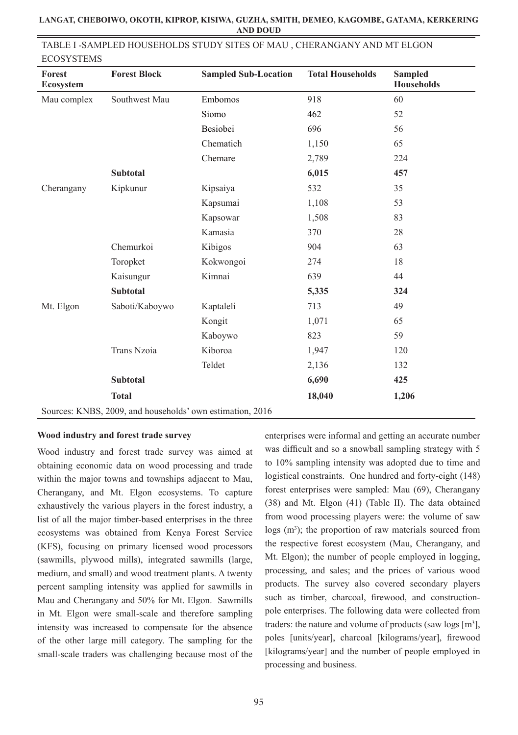| <b>ECOSISIEMS</b>   |                                                           |                             |                         |                                     |  |  |  |
|---------------------|-----------------------------------------------------------|-----------------------------|-------------------------|-------------------------------------|--|--|--|
| Forest<br>Ecosystem | <b>Forest Block</b>                                       | <b>Sampled Sub-Location</b> | <b>Total Households</b> | <b>Sampled</b><br><b>Households</b> |  |  |  |
| Mau complex         | Southwest Mau                                             | Embomos                     | 918                     | 60                                  |  |  |  |
|                     |                                                           | Siomo                       | 462                     | 52                                  |  |  |  |
|                     |                                                           | Besiobei                    | 696                     | 56                                  |  |  |  |
|                     |                                                           | Chematich                   | 1,150                   | 65                                  |  |  |  |
|                     |                                                           | Chemare                     | 2,789                   | 224                                 |  |  |  |
|                     | <b>Subtotal</b>                                           |                             | 6,015                   | 457                                 |  |  |  |
| Cherangany          | Kipkunur                                                  | Kipsaiya                    | 532                     | 35                                  |  |  |  |
|                     |                                                           | Kapsumai                    | 1,108                   | 53                                  |  |  |  |
|                     |                                                           | Kapsowar                    | 1,508                   | 83                                  |  |  |  |
|                     |                                                           | Kamasia                     | 370                     | 28                                  |  |  |  |
|                     | Chemurkoi                                                 | Kibigos                     | 904                     | 63                                  |  |  |  |
|                     | Toropket                                                  | Kokwongoi                   | 274                     | 18                                  |  |  |  |
|                     | Kaisungur                                                 | Kimnai                      | 639                     | 44                                  |  |  |  |
|                     | <b>Subtotal</b>                                           |                             | 5,335                   | 324                                 |  |  |  |
| Mt. Elgon           | Saboti/Kaboywo                                            | Kaptaleli                   | 713                     | 49                                  |  |  |  |
|                     |                                                           | Kongit                      | 1,071                   | 65                                  |  |  |  |
|                     |                                                           | Kaboywo                     | 823                     | 59                                  |  |  |  |
|                     | Trans Nzoia                                               | Kiboroa                     | 1,947                   | 120                                 |  |  |  |
|                     |                                                           | Teldet                      | 2,136                   | 132                                 |  |  |  |
|                     | <b>Subtotal</b>                                           |                             | 6,690                   | 425                                 |  |  |  |
|                     | <b>Total</b>                                              |                             | 18,040                  | 1,206                               |  |  |  |
|                     | Sources: KNBS, 2009, and households' own estimation, 2016 |                             |                         |                                     |  |  |  |

## TABLE I -SAMPLED HOUSEHOLDS STUDY SITES OF MAU , CHERANGANY AND MT ELGON **ECOSYSTEMS**

## **Wood industry and forest trade survey**

Wood industry and forest trade survey was aimed at obtaining economic data on wood processing and trade within the major towns and townships adjacent to Mau, Cherangany, and Mt. Elgon ecosystems. To capture exhaustively the various players in the forest industry, a list of all the major timber-based enterprises in the three ecosystems was obtained from Kenya Forest Service (KFS), focusing on primary licensed wood processors (sawmills, plywood mills), integrated sawmills (large, medium, and small) and wood treatment plants. A twenty percent sampling intensity was applied for sawmills in Mau and Cherangany and 50% for Mt. Elgon. Sawmills in Mt. Elgon were small-scale and therefore sampling intensity was increased to compensate for the absence of the other large mill category. The sampling for the small-scale traders was challenging because most of the enterprises were informal and getting an accurate number was difficult and so a snowball sampling strategy with 5 to 10% sampling intensity was adopted due to time and logistical constraints. One hundred and forty-eight (148) forest enterprises were sampled: Mau (69), Cherangany (38) and Mt. Elgon (41) (Table II). The data obtained from wood processing players were: the volume of saw logs (m<sup>3</sup>); the proportion of raw materials sourced from the respective forest ecosystem (Mau, Cherangany, and Mt. Elgon); the number of people employed in logging, processing, and sales; and the prices of various wood products. The survey also covered secondary players such as timber, charcoal, firewood, and constructionpole enterprises. The following data were collected from traders: the nature and volume of products (saw  $\log s$  [m<sup>3</sup>], poles [units/year], charcoal [kilograms/year], firewood [kilograms/year] and the number of people employed in processing and business.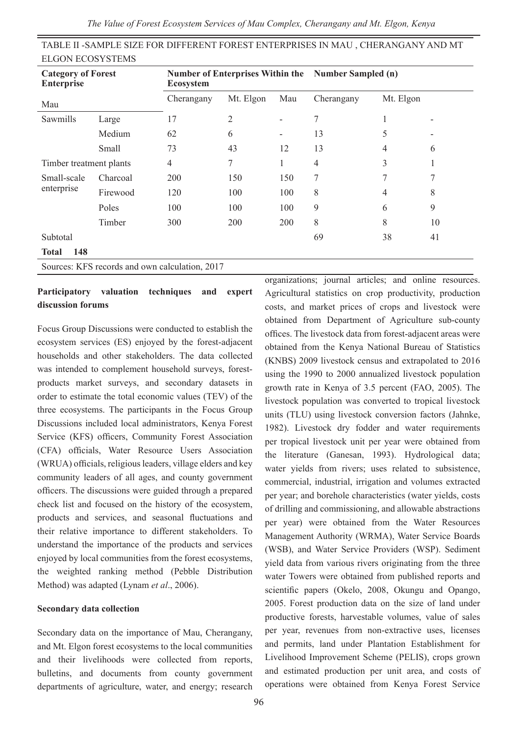*The Value of Forest Ecosystem Services of Mau Complex, Cherangany and Mt. Elgon, Kenya*

| <b>ELGON ECOSYSTEMS</b>                        |          |                  |                                                     |                          |            |           |    |
|------------------------------------------------|----------|------------------|-----------------------------------------------------|--------------------------|------------|-----------|----|
| <b>Category of Forest</b><br><b>Enterprise</b> |          | <b>Ecosystem</b> | Number of Enterprises Within the Number Sampled (n) |                          |            |           |    |
| Mau                                            |          | Cherangany       | Mt. Elgon                                           | Mau                      | Cherangany | Mt. Elgon |    |
| Sawmills                                       | Large    | 17               | 2                                                   |                          | 7          |           |    |
|                                                | Medium   | 62               | 6                                                   | $\overline{\phantom{a}}$ | 13         | 5         |    |
|                                                | Small    | 73               | 43                                                  | 12                       | 13         | 4         | 6  |
| Timber treatment plants                        |          | 4                | 7                                                   | 1                        | 4          | 3         |    |
| Small-scale                                    | Charcoal | 200              | 150                                                 | 150                      | 7          | 7         | 7  |
| enterprise                                     | Firewood | 120              | 100                                                 | 100                      | 8          | 4         | 8  |
|                                                | Poles    | 100              | 100                                                 | 100                      | 9          | 6         | 9  |
|                                                | Timber   | 300              | 200                                                 | 200                      | 8          | 8         | 10 |
| Subtotal                                       |          |                  |                                                     |                          | 69         | 38        | 41 |
| 148<br><b>Total</b>                            |          |                  |                                                     |                          |            |           |    |

TABLE II -SAMPLE SIZE FOR DIFFERENT FOREST ENTERPRISES IN MAU , CHERANGANY AND MT

# **Participatory valuation techniques and expert**

Sources: KFS records and own calculation, 2017

**discussion forums**

Focus Group Discussions were conducted to establish the ecosystem services (ES) enjoyed by the forest-adjacent households and other stakeholders. The data collected was intended to complement household surveys, forestproducts market surveys, and secondary datasets in order to estimate the total economic values (TEV) of the three ecosystems. The participants in the Focus Group Discussions included local administrators, Kenya Forest Service (KFS) officers, Community Forest Association (CFA) officials, Water Resource Users Association (WRUA) officials, religious leaders, village elders and key community leaders of all ages, and county government officers. The discussions were guided through a prepared check list and focused on the history of the ecosystem, products and services, and seasonal fluctuations and their relative importance to different stakeholders. To understand the importance of the products and services enjoyed by local communities from the forest ecosystems, the weighted ranking method (Pebble Distribution Method) was adapted (Lynam *et al*., 2006).

## **Secondary data collection**

Secondary data on the importance of Mau, Cherangany, and Mt. Elgon forest ecosystems to the local communities and their livelihoods were collected from reports, bulletins, and documents from county government departments of agriculture, water, and energy; research

organizations; journal articles; and online resources. Agricultural statistics on crop productivity, production costs, and market prices of crops and livestock were obtained from Department of Agriculture sub-county offices. The livestock data from forest-adjacent areas were obtained from the Kenya National Bureau of Statistics (KNBS) 2009 livestock census and extrapolated to 2016 using the 1990 to 2000 annualized livestock population growth rate in Kenya of 3.5 percent (FAO, 2005). The livestock population was converted to tropical livestock units (TLU) using livestock conversion factors (Jahnke, 1982). Livestock dry fodder and water requirements per tropical livestock unit per year were obtained from the literature (Ganesan, 1993). Hydrological data; water yields from rivers; uses related to subsistence, commercial, industrial, irrigation and volumes extracted per year; and borehole characteristics (water yields, costs of drilling and commissioning, and allowable abstractions per year) were obtained from the Water Resources Management Authority (WRMA), Water Service Boards (WSB), and Water Service Providers (WSP). Sediment yield data from various rivers originating from the three water Towers were obtained from published reports and scientific papers (Okelo, 2008, Okungu and Opango, 2005. Forest production data on the size of land under productive forests, harvestable volumes, value of sales per year, revenues from non-extractive uses, licenses and permits, land under Plantation Establishment for Livelihood Improvement Scheme (PELIS), crops grown and estimated production per unit area, and costs of operations were obtained from Kenya Forest Service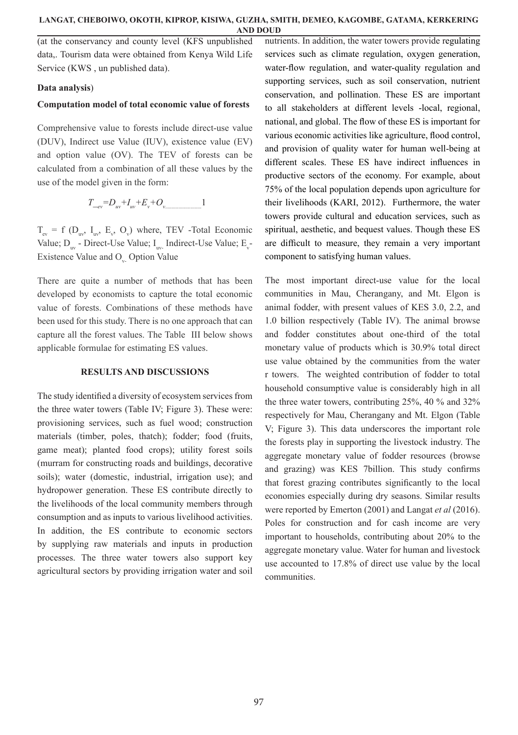(at the conservancy and county level (KFS unpublished data,. Tourism data were obtained from Kenya Wild Life Service (KWS , un published data).

## **Data analysis**)

#### **Computation model of total economic value of forests**

Comprehensive value to forests include direct-use value (DUV), Indirect use Value (IUV), existence value (EV) and option value (OV). The TEV of forests can be calculated from a combination of all these values by the use of the model given in the form:

*T\_ev=Duv+Iuv+E<sup>v</sup> +Ov.*..........................1

 $T_{ev}$  = f ( $D_{uv}$ ,  $I_{uv}$ ,  $E_v$ ,  $O_v$ ) where, TEV -Total Economic Value;  $D_{uv}$  - Direct-Use Value;  $I_{uv}$  Indirect-Use Value;  $E_{v}$ -Existence Value and O<sub>v</sub> Option Value

There are quite a number of methods that has been developed by economists to capture the total economic value of forests. Combinations of these methods have been used for this study. There is no one approach that can capture all the forest values. The Table III below shows applicable formulae for estimating ES values.

## **RESULTS AND DISCUSSIONS**

The study identified a diversity of ecosystem services from the three water towers (Table IV; Figure 3). These were: provisioning services, such as fuel wood; construction materials (timber, poles, thatch); fodder; food (fruits, game meat); planted food crops); utility forest soils (murram for constructing roads and buildings, decorative soils); water (domestic, industrial, irrigation use); and hydropower generation. These ES contribute directly to the livelihoods of the local community members through consumption and as inputs to various livelihood activities. In addition, the ES contribute to economic sectors by supplying raw materials and inputs in production processes. The three water towers also support key agricultural sectors by providing irrigation water and soil nutrients. In addition, the water towers provide regulating services such as climate regulation, oxygen generation, water-flow regulation, and water-quality regulation and supporting services, such as soil conservation, nutrient conservation, and pollination. These ES are important to all stakeholders at different levels -local, regional, national, and global. The flow of these ES is important for various economic activities like agriculture, flood control, and provision of quality water for human well-being at different scales. These ES have indirect influences in productive sectors of the economy. For example, about 75% of the local population depends upon agriculture for their livelihoods (KARI, 2012). Furthermore, the water towers provide cultural and education services, such as spiritual, aesthetic, and bequest values. Though these ES are difficult to measure, they remain a very important component to satisfying human values.

The most important direct-use value for the local communities in Mau, Cherangany, and Mt. Elgon is animal fodder, with present values of KES 3.0, 2.2, and 1.0 billion respectively (Table IV). The animal browse and fodder constitutes about one-third of the total monetary value of products which is 30.9% total direct use value obtained by the communities from the water r towers. The weighted contribution of fodder to total household consumptive value is considerably high in all the three water towers, contributing 25%, 40 % and 32% respectively for Mau, Cherangany and Mt. Elgon (Table V; Figure 3). This data underscores the important role the forests play in supporting the livestock industry. The aggregate monetary value of fodder resources (browse and grazing) was KES 7billion. This study confirms that forest grazing contributes significantly to the local economies especially during dry seasons. Similar results were reported by Emerton (2001) and Langat *et al* (2016). Poles for construction and for cash income are very important to households, contributing about 20% to the aggregate monetary value. Water for human and livestock use accounted to 17.8% of direct use value by the local communities.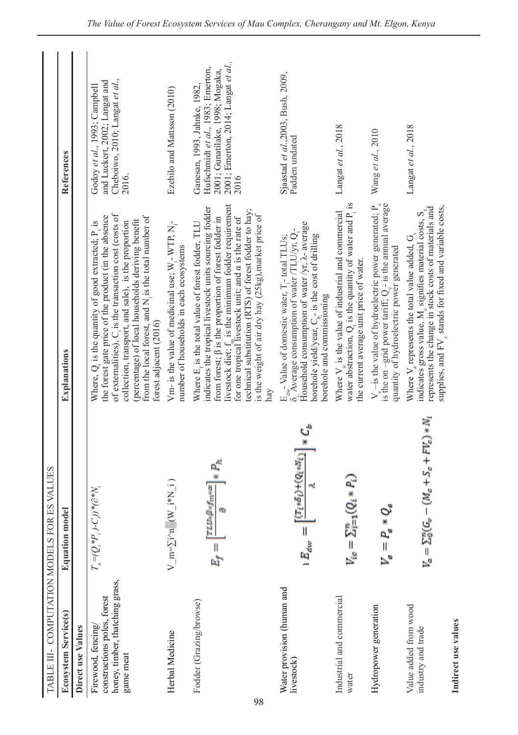| TABLE III- COMPUTATION MODELS FOR                                                                 | <b>ES VALUES</b>                                                           |                                                                                                                                                                                                                                                                                                                                                                                                                                          |                                                                                                                                                     |
|---------------------------------------------------------------------------------------------------|----------------------------------------------------------------------------|------------------------------------------------------------------------------------------------------------------------------------------------------------------------------------------------------------------------------------------------------------------------------------------------------------------------------------------------------------------------------------------------------------------------------------------|-----------------------------------------------------------------------------------------------------------------------------------------------------|
| <b>Ecosystem Service(s)</b>                                                                       | <b>Equation model</b>                                                      | Explanations                                                                                                                                                                                                                                                                                                                                                                                                                             | References                                                                                                                                          |
| Direct use Values                                                                                 |                                                                            |                                                                                                                                                                                                                                                                                                                                                                                                                                          |                                                                                                                                                     |
| honey, timber, thatching grass,<br>constructions poles, forest<br>Firewood, fencing/<br>game meat | $T_{_n} = (Q_i^* P_{_i})$ -C))* $( \partial^* N_{_i}$                      | of externalities), C is the transaction cost (costs of<br>the forest gate price of the product (in the absence<br>from the local forest, and N <sub>i</sub> is the total number of<br>(percentage) of local households deriving benefit<br>collection, transport, and sale), is the proportion<br>Where, $Q_i$ is the quantity of good extracted; $P_i$ is<br>forest adjacent (2016)                                                     | Cheboiwo, 2010; Langat et al.,<br>and Luckert, 2002; Langat and<br>Godoy et al., 1993; Campbell<br>2016.                                            |
| Herbal Medicine                                                                                   | $V_{\underline{m}=\sum j\wedge n}^{N}$ (W $i*N_i$ )                        | Vm- is the value of medicinal use; $W_i$ - WTP, N <sub>i</sub> -<br>number of households in each ecosystems                                                                                                                                                                                                                                                                                                                              | Ezebilo and Mattsson (2010)                                                                                                                         |
| Fodder (Grazing/browse)                                                                           | $\mathbf{P}_k$<br>TLU48*fm*a<br>$E_{f} =$                                  | livestock diet; $f_n$ is the minimum fodder requirement<br>for one tropical livestock unit; and $\alpha$ is the rate of<br>indicates the tropical livestock units sourcing fodder<br>technical substitution (RTS) of forest fodder to hay;<br>is the weight of air dry hay (25kg), market price of<br>from forest; $\beta$ is the proportion of forest fodder in<br>Where E <sub>r</sub> is the total value of forest fodder, TLU<br>hay | 2001; Emerton, 2014; Langat et al.,<br>Hufschmidt et al., 1983; Emerton,<br>2001; Gunatilake, 1998; Mogaka,<br>Ganesan, 1993, Jahnke, 1982,<br>2016 |
| Water provision (human and<br>livestock)                                                          | ប៉ុ<br>$\lceil (T_1 * \delta_i) + (Q_1 * N_i) \rceil$<br>$\mathbb{E}_{dw}$ | Household consumption of water /yr, $\lambda$ - average<br>Average consumption of water /TLU/yr, $Q_i$ -<br>borehole yield/year, C <sub>1</sub> - is the cost of drilling<br>$E_{\text{aw}}$ - Value of domestic water, $T_1$ - total TLUs;<br>$\delta$ . Average consumption of water /TLU/vr. O<br>borehole and commissioning                                                                                                          | Sjaastad et al., 2003, Bush, 2009,<br>Padden undated                                                                                                |
| Industrial and commercial<br>water                                                                | $(Q_i * P_i)$<br>$V_{te} = \sum_{i=1}^n$                                   | water abstraction, $Q_i$ is the quantity of water and $P_i$ is<br>Where $V_{\alpha}$ is the value of industrial and commercial<br>the current average unit price of water.                                                                                                                                                                                                                                                               | Langat et al., 2018                                                                                                                                 |
| Hydropower generation                                                                             | $v_{\rm e} = P$                                                            | $V_{\rm g}$ --is the value of hydroelectric power generated; $P_{\rm e}$ is the on --grid power tariff; $Q_{\rm e}$ is the annual average<br>quantity of hydroelectric power generated                                                                                                                                                                                                                                                   | Wang et al., 2010                                                                                                                                   |
| Value added from wood<br>industry and trade                                                       | $-(M_c + S_c + FV_c) * N_1$<br>$V_a = \Sigma_0^n(G_\nu$                    | supplies, and FV <sub>e</sub> stands for fixed and variable costs,<br>indicates gross value, $M_a$ signifies material costs, $S_a$ represents the change in stock costs of materials and<br>Where $V_a$ represents the total value added, $G_v$                                                                                                                                                                                          | Langat et al., 2018                                                                                                                                 |

alues and flow the flow of the state of the state of the state of the state of the state of the state of the state of the state of the state of the state of the state of the state of the state of the state of the state of Soil nutrition Indirect use values **Indirect use values** Indirect use value

soil nutrition in the control of the control of the control of the control of the control of the control of the control of the control of the control of the control of the control of the control of the control of the contr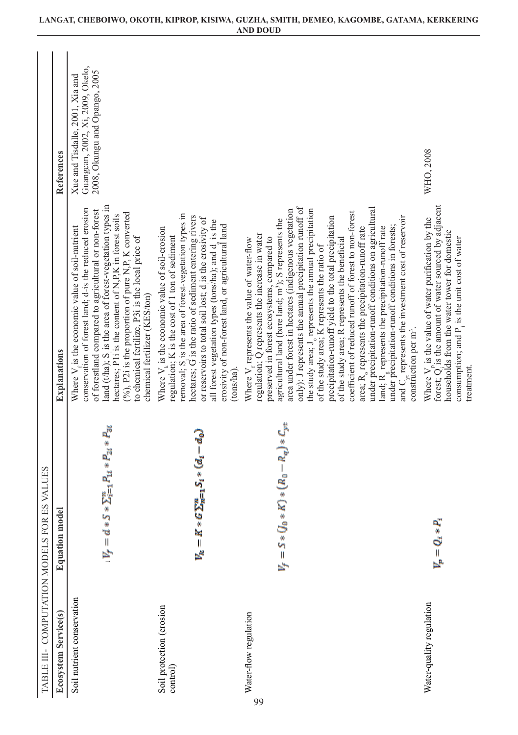|                                      | TABLE III - COMPUTATION MODELS FOR ES VALUES                              |                                                                                                                                                                                                                                                                                                                                                                                                                                                                                                                                                                                                                                                                                                                                                                                                                                                                                                                                                                                                  |                                                                                                      |
|--------------------------------------|---------------------------------------------------------------------------|--------------------------------------------------------------------------------------------------------------------------------------------------------------------------------------------------------------------------------------------------------------------------------------------------------------------------------------------------------------------------------------------------------------------------------------------------------------------------------------------------------------------------------------------------------------------------------------------------------------------------------------------------------------------------------------------------------------------------------------------------------------------------------------------------------------------------------------------------------------------------------------------------------------------------------------------------------------------------------------------------|------------------------------------------------------------------------------------------------------|
| <b>Ecosystem Service(s)</b>          | ಕ<br>Equation mode                                                        | Explanations                                                                                                                                                                                                                                                                                                                                                                                                                                                                                                                                                                                                                                                                                                                                                                                                                                                                                                                                                                                     | References                                                                                           |
| Soil nutrient conservation           | $*\Sigma_{i=1}^n P_{1i}*P_{2i}*P_{3i}$<br>$V_f = d * S$                   | land ( $t$ /ha); S, is the area of forest-vegetation types in<br>hectares; P1i is the content of N,P,K in forest soils<br>conservation of forest land; d-is the reduced erosion<br>of forestland compared to agricultural or non-forest<br>$(96)$ , P2i is the proportion of pure N,P, K converted<br>Where $V_{\alpha}$ is the economic value of soil-nutrient<br>to chemical fertilize, P3i is the local price of<br>chemical fertilizer (KES/ton)                                                                                                                                                                                                                                                                                                                                                                                                                                                                                                                                             | Guangcan, 2002, Xi, 2009, Okelo,<br>2008, Okungu and Opango, 2005<br>Xue and Tisdalle, 2001, Xia and |
| Soil protection (erosion<br>control) | $V_{\mathbf{k}}=K*G\sum_{n=1}^{\infty}S_{i}*({\bm{a}}_{i}-{\bm{a}}_{n}).$ | removal; S, is the area of forest-vegetation types in<br>hectares; G is the ratio of sediment entering rivers<br>or reservoirs to total soil lost; d is the erosivity of<br>all forest vegetation types (tons/ha); and d, is the<br>erosivity of non-forest land, or agricultural land<br>Where $V_k$ is the economic value of soil-erosion<br>regulation; K is the cost of 1 ton of sediment<br>(tons/ha)                                                                                                                                                                                                                                                                                                                                                                                                                                                                                                                                                                                       |                                                                                                      |
| Water-flow regulation<br>99          | $K)*(R_0-R_q)*C_{\text{3d}}$<br>$V_f = 5 * U_0 *$                         | only); J represents the annual precipitation runoff of<br>under precipitation-runoff conditions on agricultural<br>the study area; J <sub>o</sub> represents the annual precipitation<br>area under forest in hectares (indigenous vegetation<br>coefficient of reduced runoff of forest to non-forest<br>precipitation-runoff yield to the total precipitation<br>and $C_{\text{st}}$ represents the investment cost of reservoir<br>agricultural land (bare land; m <sup>3</sup> ); S represents the<br>under precipitation-runoff conditions in forests;<br>land; R <sub>g</sub> represents the precipitation-runoff rate<br>area; R <sub>o</sub> represents the precipitation-runoff rate<br>regulation; Q represents the increase in water<br>preserved in forest ecosystems, compared to<br>Where V <sub>r</sub> represents the value of water-flow<br>of the study area; R represents the beneficial<br>of the study area; K represents the ratio of<br>construction per m <sup>3</sup> . |                                                                                                      |
| Water-quality regulation             | $V_p = Q_i * P_i$                                                         | Where $V_p$ is the value of water purification by the forest; $Q_i$ is the amount of water sourced by adjacent<br>households from the water tower for domestic<br>consumption; and P <sub>1</sub> is the unit cost of water<br>treatment.                                                                                                                                                                                                                                                                                                                                                                                                                                                                                                                                                                                                                                                                                                                                                        | WHO, 2008                                                                                            |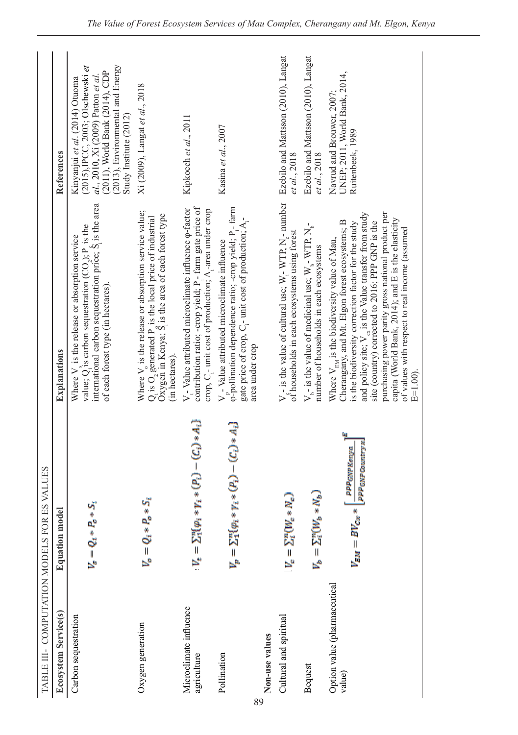| TABLE III- COMPUTATION MODELS FOR ES VALUES |                                                                       |                                                                                                                                                                                                                                                                                                                                                                                                                                                       |                                                                                                                                                                                                           |
|---------------------------------------------|-----------------------------------------------------------------------|-------------------------------------------------------------------------------------------------------------------------------------------------------------------------------------------------------------------------------------------------------------------------------------------------------------------------------------------------------------------------------------------------------------------------------------------------------|-----------------------------------------------------------------------------------------------------------------------------------------------------------------------------------------------------------|
| Ecosystem Service(s)                        | <b>Equation model</b>                                                 | Explanations                                                                                                                                                                                                                                                                                                                                                                                                                                          | References                                                                                                                                                                                                |
| Carbon sequestration                        | ή<br>$V_x = Q_1 * P_x *$                                              | international carbon sequestration price; $\hat{S}$ is the area<br>value; $Q_i$ is carbon sequestration $(CO_i)$ ; $P_i$ is the<br>Where $Va$ is the release or absorption service<br>of each forest type (in hectares).                                                                                                                                                                                                                              | (2013), Environmental and Energy<br>(2015), IPCC, 2003; Olschewski et<br>(2011), World Bank (2014), CDP<br>al., 2010, Xi (2009) Patton et al.<br>Kinyanjui et al. (2014) Otuoma<br>Study Institute (2012) |
| Oxygen generation                           | $V_o = Q_i * P_o * S_i$                                               | Where V is the release or absorption service value;<br>$Q_i$ is $O_2$ generated $P_i$ is the local price of industrial $Oxyz$ is in Kenya; $S_i$ is the area of each forest type<br>(in hectares)                                                                                                                                                                                                                                                     | Xi (2009), Langat et al., 2018                                                                                                                                                                            |
| Microclimate influence<br>agriculture       | $V_t = \sum_{1}^{n} (\varphi_1 * \gamma_1 * (P_t) - (C_t) * A_t)$     | contribution ratio; -crop yield; P <sub>r</sub> - farm gate price of<br>$V_i$ - Value attributed microclimate influence $\varphi$ -factor<br>crop, C <sub>1</sub> - unit cost of production; A <sub>1</sub> -area under crop                                                                                                                                                                                                                          | Kipkoech et al., 2011                                                                                                                                                                                     |
| Pollination                                 | $V_p = \sum_{1}^{n} (p_i * \gamma_i * (P_i) - (C_i) * A_i)$           | φ-pollination dependence ratio; -crop yield; P <sub>i</sub> - farm<br>gate price of crop, C <sub>1</sub> - unit cost of production; A <sub>1</sub> -<br>$Vn$ - Value attributed microclimate influence<br>area under crop                                                                                                                                                                                                                             | Kasina et al., 2007                                                                                                                                                                                       |
| Non-use values                              |                                                                       |                                                                                                                                                                                                                                                                                                                                                                                                                                                       |                                                                                                                                                                                                           |
| Cultural and spiritual                      | $V_c = \Sigma_1^u (W_c * N_c)$                                        | $V_{\sigma}$ - is the value of cultural use; W <sub>i</sub> -WTP, N <sub>i</sub> - number<br>of households in each ecosystems using forest                                                                                                                                                                                                                                                                                                            | Ezebilo and Mattsson (2010), Langat<br>et al., 2018                                                                                                                                                       |
| Bequest                                     | $V_b = \Sigma_1^u (W_b * W_b)$                                        | $V_{h}$ - is the value of medicinal use; $W_{h}$ - WTP, $N_{h}$ -<br>number of households in each ecosystems                                                                                                                                                                                                                                                                                                                                          | Ezebilo and Mattsson (2010), Langat<br>et al., 2018                                                                                                                                                       |
| Option value (pharmaceutical<br>value)      | 割<br>PPP GNP Country x<br>PPP GNP Kenya<br>$V_{EM} = BV_{\rm{cav}}$ * | purchasing power parity gross national product per<br>and policy site; $V_{ex}$ is the Value transfer from study<br>capita (World Bank, 2014); and E is the elasticity<br>site (country) corrected to 2016; PPP GNP is the<br>Cherangany, and Mt. Elgon forest ecosystems; B<br>is the biodiversity correction factor for the study<br>of values with respect to real income (assumed<br>Where $V_{EM}$ is the biodiversity value of Mau,<br>$E=1.00$ | UNEP; 2011, World Bank, 2014,<br>Navrud and Brouwer, 2007:<br>Ruitenbeek, 1989                                                                                                                            |

Water flow

89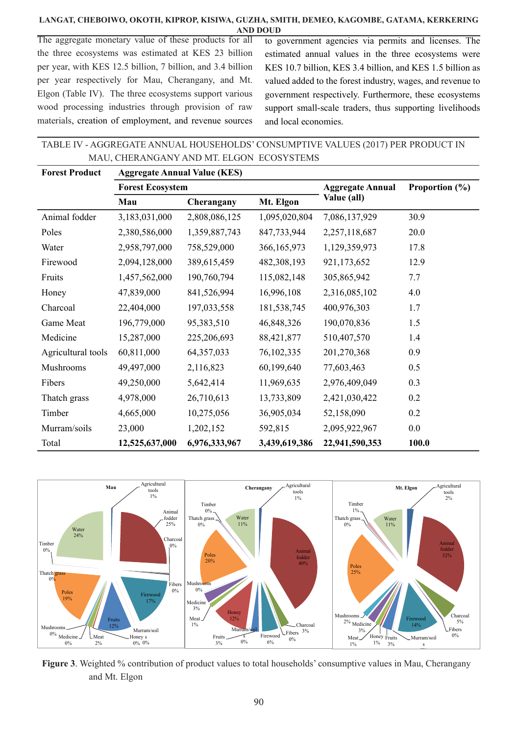The aggregate monetary value of these products for all the three ecosystems was estimated at KES 23 billion per year, with KES 12.5 billion, 7 billion, and 3.4 billion per year respectively for Mau, Cherangany, and Mt. Elgon (Table IV). The three ecosystems support various wood processing industries through provision of raw materials, creation of employment, and revenue sources to government agencies via permits and licenses. The estimated annual values in the three ecosystems were KES 10.7 billion, KES 3.4 billion, and KES 1.5 billion as valued added to the forest industry, wages, and revenue to government respectively. Furthermore, these ecosystems support small-scale traders, thus supporting livelihoods and local economies.

TABLE IV - AGGREGATE ANNUAL HOUSEHOLDS' CONSUMPTIVE VALUES (2017) PER PRODUCT IN MAU, CHERANGANY AND MT. ELGON ECOSYSTEMS

| <b>Forest Product</b> | <b>Aggregate Annual Value (KES)</b> |               |               |                         |                    |
|-----------------------|-------------------------------------|---------------|---------------|-------------------------|--------------------|
|                       | <b>Forest Ecosystem</b>             |               |               | <b>Aggregate Annual</b> | Proportion $(\% )$ |
|                       | Mau                                 | Cherangany    | Mt. Elgon     | Value (all)             |                    |
| Animal fodder         | 3,183,031,000                       | 2,808,086,125 | 1,095,020,804 | 7,086,137,929           | 30.9               |
| Poles                 | 2,380,586,000                       | 1,359,887,743 | 847,733,944   | 2,257,118,687           | 20.0               |
| Water                 | 2,958,797,000                       | 758,529,000   | 366, 165, 973 | 1,129,359,973           | 17.8               |
| Firewood              | 2,094,128,000                       | 389,615,459   | 482,308,193   | 921,173,652             | 12.9               |
| Fruits                | 1,457,562,000                       | 190,760,794   | 115,082,148   | 305,865,942             | 7.7                |
| Honey                 | 47,839,000                          | 841,526,994   | 16,996,108    | 2,316,085,102           | 4.0                |
| Charcoal              | 22,404,000                          | 197,033,558   | 181,538,745   | 400,976,303             | 1.7                |
| Game Meat             | 196,779,000                         | 95,383,510    | 46,848,326    | 190,070,836             | 1.5                |
| Medicine              | 15,287,000                          | 225,206,693   | 88,421,877    | 510,407,570             | 1.4                |
| Agricultural tools    | 60,811,000                          | 64, 357, 033  | 76,102,335    | 201,270,368             | 0.9                |
| Mushrooms             | 49,497,000                          | 2,116,823     | 60,199,640    | 77,603,463              | 0.5                |
| Fibers                | 49,250,000                          | 5,642,414     | 11,969,635    | 2,976,409,049           | 0.3                |
| Thatch grass          | 4,978,000                           | 26,710,613    | 13,733,809    | 2,421,030,422           | 0.2                |
| Timber                | 4,665,000                           | 10,275,056    | 36,905,034    | 52,158,090              | 0.2                |
| Murram/soils          | 23,000                              | 1,202,152     | 592,815       | 2,095,922,967           | 0.0                |
| Total                 | 12,525,637,000                      | 6,976,333,967 | 3,439,619,386 | 22,941,590,353          | 100.0              |



**Figure 3**. Weighted % contribution of product values to total households' consumptive values in Mau, Cherangany and Mt. Elgon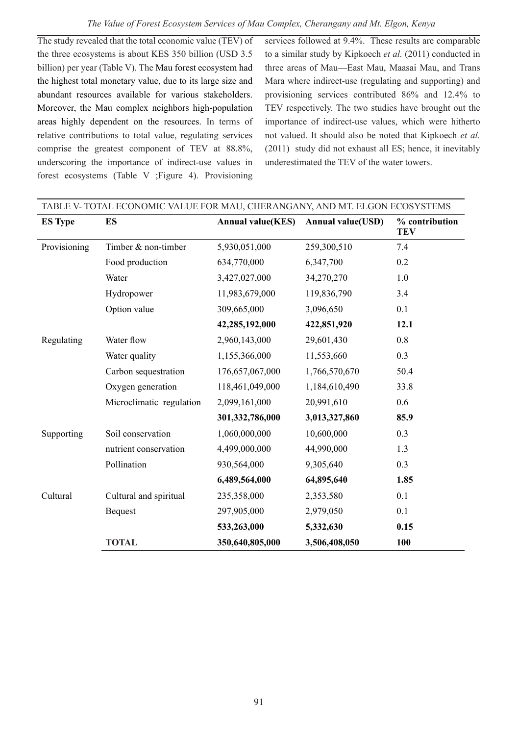The study revealed that the total economic value (TEV) of the three ecosystems is about KES 350 billion (USD 3.5 billion) per year (Table V). The Mau forest ecosystem had the highest total monetary value, due to its large size and abundant resources available for various stakeholders. Moreover, the Mau complex neighbors high-population areas highly dependent on the resources. In terms of relative contributions to total value, regulating services comprise the greatest component of TEV at 88.8%, underscoring the importance of indirect-use values in forest ecosystems (Table V ;Figure 4). Provisioning

services followed at 9.4%. These results are comparable to a similar study by Kipkoech *et al.* (2011) conducted in three areas of Mau—East Mau, Maasai Mau, and Trans Mara where indirect-use (regulating and supporting) and provisioning services contributed 86% and 12.4% to TEV respectively. The two studies have brought out the importance of indirect-use values, which were hitherto not valued. It should also be noted that Kipkoech *et al.* (2011) study did not exhaust all ES; hence, it inevitably underestimated the TEV of the water towers.

|                | TABLE V-TOTAL ECONOMIC VALUE FOR MAU, CHERANGANY, AND MT. ELGON ECOSYSTEMS |                          |                          |                              |
|----------------|----------------------------------------------------------------------------|--------------------------|--------------------------|------------------------------|
| <b>ES Type</b> | ES                                                                         | <b>Annual value(KES)</b> | <b>Annual value(USD)</b> | % contribution<br><b>TEV</b> |
| Provisioning   | Timber $&$ non-timber                                                      | 5,930,051,000            | 259,300,510              | 7.4                          |
|                | Food production                                                            | 634,770,000              | 6,347,700                | 0.2                          |
|                | Water                                                                      | 3,427,027,000            | 34,270,270               | 1.0                          |
|                | Hydropower                                                                 | 11,983,679,000           | 119,836,790              | 3.4                          |
|                | Option value                                                               | 309,665,000              | 3,096,650                | 0.1                          |
|                |                                                                            | 42,285,192,000           | 422,851,920              | 12.1                         |
| Regulating     | Water flow                                                                 | 2,960,143,000            | 29,601,430               | 0.8                          |
|                | Water quality                                                              | 1,155,366,000            | 11,553,660               | 0.3                          |
|                | Carbon sequestration                                                       | 176,657,067,000          | 1,766,570,670            | 50.4                         |
|                | Oxygen generation                                                          | 118,461,049,000          | 1,184,610,490            | 33.8                         |
|                | Microclimatic regulation                                                   | 2,099,161,000            | 20,991,610               | 0.6                          |
|                |                                                                            | 301,332,786,000          | 3,013,327,860            | 85.9                         |
| Supporting     | Soil conservation                                                          | 1,060,000,000            | 10,600,000               | 0.3                          |
|                | nutrient conservation                                                      | 4,499,000,000            | 44,990,000               | 1.3                          |
|                | Pollination                                                                | 930,564,000              | 9,305,640                | 0.3                          |
|                |                                                                            | 6,489,564,000            | 64,895,640               | 1.85                         |
| Cultural       | Cultural and spiritual                                                     | 235,358,000              | 2,353,580                | 0.1                          |
|                | <b>Bequest</b>                                                             | 297,905,000              | 2,979,050                | 0.1                          |
|                |                                                                            | 533,263,000              | 5,332,630                | 0.15                         |
|                | <b>TOTAL</b>                                                               | 350,640,805,000          | 3,506,408,050            | 100                          |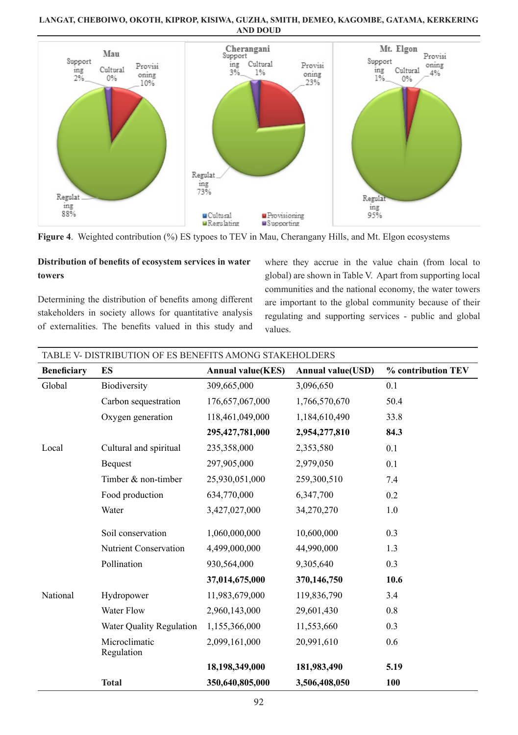

**Figure 4**. Weighted contribution (%) ES typoes to TEV in Mau, Cherangany Hills, and Mt. Elgon ecosystems

# **Distribution of benefits of ecosystem services in water towers**

Determining the distribution of benefits among different stakeholders in society allows for quantitative analysis of externalities. The benefits valued in this study and

where they accrue in the value chain (from local to global) are shown in Table V. Apart from supporting local communities and the national economy, the water towers are important to the global community because of their regulating and supporting services - public and global values.

| <b>Beneficiary</b> | ES                          | <b>Annual value(KES)</b> | <b>Annual value(USD)</b> | % contribution TEV |
|--------------------|-----------------------------|--------------------------|--------------------------|--------------------|
| Global             | Biodiversity                | 309,665,000              | 3,096,650                | 0.1                |
|                    | Carbon sequestration        | 176,657,067,000          | 1,766,570,670            | 50.4               |
|                    | Oxygen generation           | 118,461,049,000          | 1,184,610,490            | 33.8               |
|                    |                             | 295,427,781,000          | 2,954,277,810            | 84.3               |
| Local              | Cultural and spiritual      | 235,358,000              | 2,353,580                | 0.1                |
|                    | <b>Bequest</b>              | 297,905,000              | 2,979,050                | 0.1                |
|                    | Timber & non-timber         | 25,930,051,000           | 259,300,510              | 7.4                |
|                    | Food production             | 634,770,000              | 6,347,700                | 0.2                |
|                    | Water                       | 3,427,027,000            | 34,270,270               | 1.0                |
|                    | Soil conservation           | 1,060,000,000            | 10,600,000               | 0.3                |
|                    | Nutrient Conservation       | 4,499,000,000            | 44.990.000               | 1.3                |
|                    | Pollination                 | 930,564,000              | 9,305,640                | 0.3                |
|                    |                             | 37,014,675,000           | 370,146,750              | 10.6               |
| National           | Hydropower                  | 11,983,679,000           | 119,836,790              | 3.4                |
|                    | <b>Water Flow</b>           | 2,960,143,000            | 29,601,430               | 0.8                |
|                    | Water Quality Regulation    | 1,155,366,000            | 11,553,660               | 0.3                |
|                    | Microclimatic<br>Regulation | 2,099,161,000            | 20,991,610               | 0.6                |
|                    |                             | 18,198,349,000           | 181,983,490              | 5.19               |
|                    | <b>Total</b>                | 350,640,805,000          | 3,506,408,050            | 100                |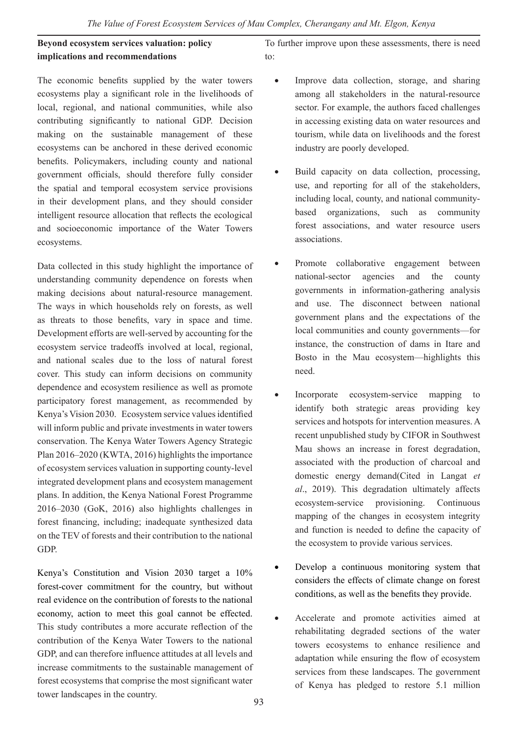**Beyond ecosystem services valuation: policy implications and recommendations**

The economic benefits supplied by the water towers ecosystems play a significant role in the livelihoods of local, regional, and national communities, while also contributing significantly to national GDP. Decision making on the sustainable management of these ecosystems can be anchored in these derived economic benefits. Policymakers, including county and national government officials, should therefore fully consider the spatial and temporal ecosystem service provisions in their development plans, and they should consider intelligent resource allocation that reflects the ecological and socioeconomic importance of the Water Towers ecosystems.

Data collected in this study highlight the importance of understanding community dependence on forests when making decisions about natural-resource management. The ways in which households rely on forests, as well as threats to those benefits, vary in space and time. Development efforts are well-served by accounting for the ecosystem service tradeoffs involved at local, regional, and national scales due to the loss of natural forest cover. This study can inform decisions on community dependence and ecosystem resilience as well as promote participatory forest management, as recommended by Kenya's Vision 2030. Ecosystem service values identified will inform public and private investments in water towers conservation. The Kenya Water Towers Agency Strategic Plan 2016–2020 (KWTA, 2016) highlights the importance of ecosystem services valuation in supporting county-level integrated development plans and ecosystem management plans. In addition, the Kenya National Forest Programme 2016–2030 (GoK, 2016) also highlights challenges in forest financing, including; inadequate synthesized data on the TEV of forests and their contribution to the national GDP.

Kenya's Constitution and Vision 2030 target a 10% forest-cover commitment for the country, but without real evidence on the contribution of forests to the national economy, action to meet this goal cannot be effected. This study contributes a more accurate reflection of the contribution of the Kenya Water Towers to the national GDP, and can therefore influence attitudes at all levels and increase commitments to the sustainable management of forest ecosystems that comprise the most significant water tower landscapes in the country.

To further improve upon these assessments, there is need to:

- Improve data collection, storage, and sharing among all stakeholders in the natural-resource sector. For example, the authors faced challenges in accessing existing data on water resources and tourism, while data on livelihoods and the forest industry are poorly developed.
- Build capacity on data collection, processing, use, and reporting for all of the stakeholders, including local, county, and national communitybased organizations, such as community forest associations, and water resource users associations.
- • Promote collaborative engagement between national-sector agencies and the county governments in information-gathering analysis and use. The disconnect between national government plans and the expectations of the local communities and county governments—for instance, the construction of dams in Itare and Bosto in the Mau ecosystem—highlights this need.
- Incorporate ecosystem-service mapping to identify both strategic areas providing key services and hotspots for intervention measures. A recent unpublished study by CIFOR in Southwest Mau shows an increase in forest degradation, associated with the production of charcoal and domestic energy demand(Cited in Langat *et al*., 2019). This degradation ultimately affects ecosystem-service provisioning. Continuous mapping of the changes in ecosystem integrity and function is needed to define the capacity of the ecosystem to provide various services.
- Develop a continuous monitoring system that considers the effects of climate change on forest conditions, as well as the benefits they provide.
- Accelerate and promote activities aimed at rehabilitating degraded sections of the water towers ecosystems to enhance resilience and adaptation while ensuring the flow of ecosystem services from these landscapes. The government of Kenya has pledged to restore 5.1 million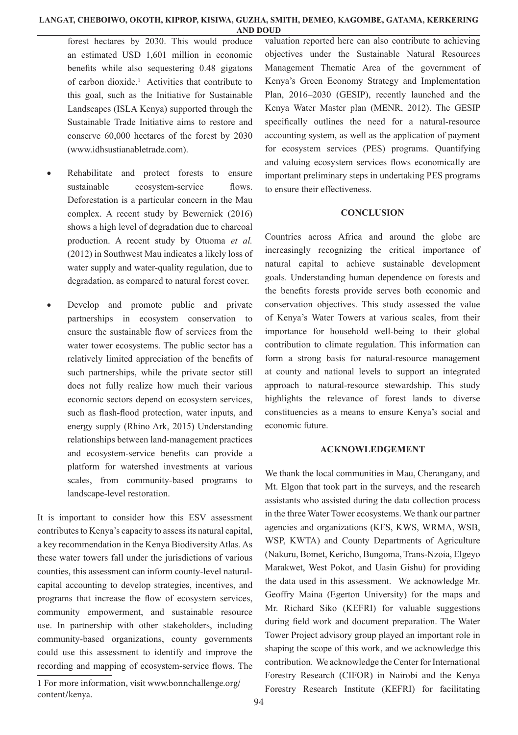forest hectares by 2030. This would produce an estimated USD 1,601 million in economic benefits while also sequestering 0.48 gigatons of carbon dioxide.<sup>1</sup> Activities that contribute to this goal, such as the Initiative for Sustainable Landscapes (ISLA Kenya) supported through the Sustainable Trade Initiative aims to restore and conserve 60,000 hectares of the forest by 2030 (www.idhsustianabletrade.com).

- Rehabilitate and protect forests to ensure sustainable ecosystem-service flows. Deforestation is a particular concern in the Mau complex. A recent study by Bewernick (2016) shows a high level of degradation due to charcoal production. A recent study by Otuoma *et al.* (2012) in Southwest Mau indicates a likely loss of water supply and water-quality regulation, due to degradation, as compared to natural forest cover.
- Develop and promote public and private partnerships in ecosystem conservation to ensure the sustainable flow of services from the water tower ecosystems. The public sector has a relatively limited appreciation of the benefits of such partnerships, while the private sector still does not fully realize how much their various economic sectors depend on ecosystem services, such as flash-flood protection, water inputs, and energy supply (Rhino Ark, 2015) Understanding relationships between land-management practices and ecosystem-service benefits can provide a platform for watershed investments at various scales, from community-based programs to landscape-level restoration.

It is important to consider how this ESV assessment contributes to Kenya's capacity to assess its natural capital, a key recommendation in the Kenya Biodiversity Atlas. As these water towers fall under the jurisdictions of various counties, this assessment can inform county-level naturalcapital accounting to develop strategies, incentives, and programs that increase the flow of ecosystem services, community empowerment, and sustainable resource use. In partnership with other stakeholders, including community-based organizations, county governments could use this assessment to identify and improve the recording and mapping of ecosystem-service flows. The

valuation reported here can also contribute to achieving objectives under the Sustainable Natural Resources Management Thematic Area of the government of Kenya's Green Economy Strategy and Implementation Plan, 2016–2030 (GESIP), recently launched and the Kenya Water Master plan (MENR, 2012). The GESIP specifically outlines the need for a natural-resource accounting system, as well as the application of payment for ecosystem services (PES) programs. Quantifying and valuing ecosystem services flows economically are important preliminary steps in undertaking PES programs to ensure their effectiveness.

## **CONCLUSION**

Countries across Africa and around the globe are increasingly recognizing the critical importance of natural capital to achieve sustainable development goals. Understanding human dependence on forests and the benefits forests provide serves both economic and conservation objectives. This study assessed the value of Kenya's Water Towers at various scales, from their importance for household well-being to their global contribution to climate regulation. This information can form a strong basis for natural-resource management at county and national levels to support an integrated approach to natural-resource stewardship. This study highlights the relevance of forest lands to diverse constituencies as a means to ensure Kenya's social and economic future.

#### **ACKNOWLEDGEMENT**

We thank the local communities in Mau, Cherangany, and Mt. Elgon that took part in the surveys, and the research assistants who assisted during the data collection process in the three Water Tower ecosystems. We thank our partner agencies and organizations (KFS, KWS, WRMA, WSB, WSP, KWTA) and County Departments of Agriculture (Nakuru, Bomet, Kericho, Bungoma, Trans-Nzoia, Elgeyo Marakwet, West Pokot, and Uasin Gishu) for providing the data used in this assessment. We acknowledge Mr. Geoffry Maina (Egerton University) for the maps and Mr. Richard Siko (KEFRI) for valuable suggestions during field work and document preparation. The Water Tower Project advisory group played an important role in shaping the scope of this work, and we acknowledge this contribution. We acknowledge the Center for International Forestry Research (CIFOR) in Nairobi and the Kenya Forestry Research Institute (KEFRI) for facilitating

<sup>1</sup> For more information, visit www.bonnchallenge.org/ content/kenya.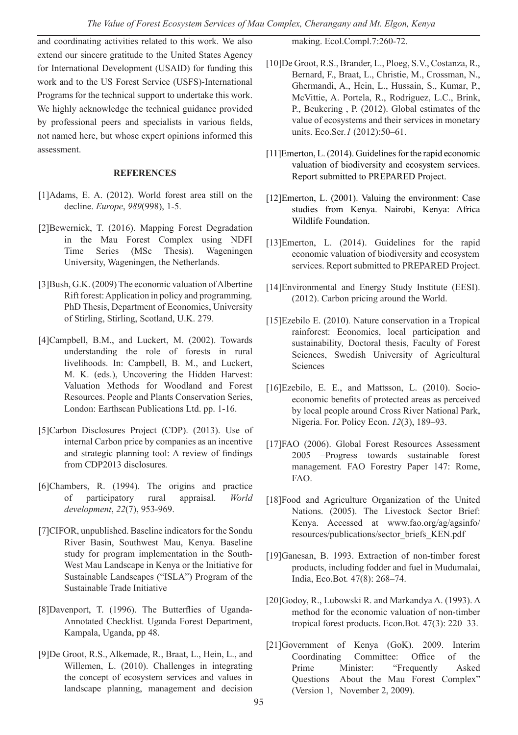and coordinating activities related to this work. We also extend our sincere gratitude to the United States Agency for International Development (USAID) for funding this work and to the US Forest Service (USFS)-International Programs for the technical support to undertake this work. We highly acknowledge the technical guidance provided by professional peers and specialists in various fields, not named here, but whose expert opinions informed this assessment.

#### **REFERENCES**

- [1]Adams, E. A. (2012). World forest area still on the decline. *Europe*, *989*(998), 1-5.
- [2]Bewernick, T. (2016). Mapping Forest Degradation in the Mau Forest Complex using NDFI Time Series (MSc Thesis). Wageningen University, Wageningen, the Netherlands.
- [3]Bush, G.K. (2009) The economic valuation of Albertine Rift forest: Application in policy and programming*,* PhD Thesis, Department of Economics, University of Stirling, Stirling, Scotland, U.K. 279.
- [4]Campbell, B.M., and Luckert, M. (2002). Towards understanding the role of forests in rural livelihoods. In: Campbell, B. M., and Luckert, M. K. (eds.), Uncovering the Hidden Harvest: Valuation Methods for Woodland and Forest Resources. People and Plants Conservation Series, London: Earthscan Publications Ltd. pp. 1-16.
- [5]Carbon Disclosures Project (CDP). (2013). Use of internal Carbon price by companies as an incentive and strategic planning tool: A review of findings from CDP2013 disclosures*.*
- [6]Chambers, R. (1994). The origins and practice of participatory rural appraisal. *World development*, *22*(7), 953-969.
- [7]CIFOR, unpublished. Baseline indicators for the Sondu River Basin, Southwest Mau, Kenya. Baseline study for program implementation in the South-West Mau Landscape in Kenya or the Initiative for Sustainable Landscapes ("ISLA") Program of the Sustainable Trade Initiative
- [8]Davenport, T. (1996). The Butterflies of Uganda-Annotated Checklist. Uganda Forest Department, Kampala, Uganda, pp 48.
- [9]De Groot, R.S., Alkemade, R., Braat, L., Hein, L., and Willemen, L. (2010). Challenges in integrating the concept of ecosystem services and values in landscape planning, management and decision

making. Ecol.Compl.7:260-72.

- [10]De Groot, R.S., Brander, L., Ploeg, S.V., Costanza, R., Bernard, F., Braat, L., Christie, M., Crossman, N., Ghermandi, A., Hein, L., Hussain, S., Kumar, P., McVittie, A. Portela, R., Rodriguez, L.C., Brink, P., Beukering , P. (2012). Global estimates of the value of ecosystems and their services in monetary units. Eco.Ser*.1* (2012):50–61.
- [11]Emerton, L. (2014). Guidelines for the rapid economic valuation of biodiversity and ecosystem services. Report submitted to PREPARED Project.
- [12]Emerton, L. (2001). Valuing the environment: Case studies from Kenya. Nairobi, Kenya: Africa Wildlife Foundation.
- [13]Emerton, L. (2014). Guidelines for the rapid economic valuation of biodiversity and ecosystem services. Report submitted to PREPARED Project.
- [14]Environmental and Energy Study Institute (EESI). (2012). Carbon pricing around the World.
- [15]Ezebilo E. (2010)*.* Nature conservation in a Tropical rainforest: Economics, local participation and sustainability*,* Doctoral thesis, Faculty of Forest Sciences, Swedish University of Agricultural **Sciences**
- [16]Ezebilo, E. E., and Mattsson, L. (2010). Socioeconomic benefits of protected areas as perceived by local people around Cross River National Park, Nigeria. For. Policy Econ. *12*(3), 189–93.
- [17]FAO (2006). Global Forest Resources Assessment 2005 –Progress towards sustainable forest management*.* FAO Forestry Paper 147: Rome, FAO.
- [18]Food and Agriculture Organization of the United Nations. (2005). The Livestock Sector Brief: Kenya. Accessed at www.fao.org/ag/agsinfo/ resources/publications/sector\_briefs\_KEN.pdf
- [19]Ganesan, B. 1993. Extraction of non-timber forest products, including fodder and fuel in Mudumalai, India, Eco.Bot*.* 47(8): 268–74.
- [20]Godoy, R., Lubowski R. and Markandya A. (1993). A method for the economic valuation of non-timber tropical forest products. Econ.Bot*.* 47(3): 220–33.
- [21]Government of Kenya (GoK). 2009. Interim Coordinating Committee: Office of the Prime Minister: "Frequently Asked Questions About the Mau Forest Complex" (Version 1, November 2, 2009).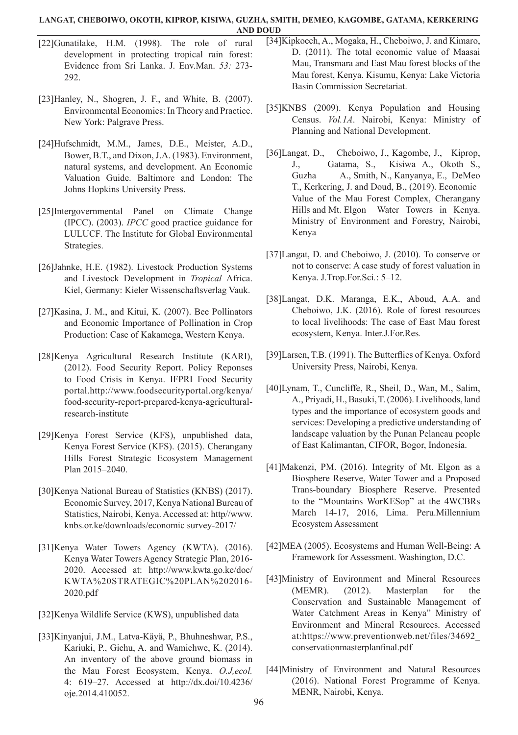- [22]Gunatilake, H.M. (1998). The role of rural development in protecting tropical rain forest: Evidence from Sri Lanka. J. Env.Man. *53:* 273- 292.
- [23]Hanley, N., Shogren, J. F., and White, B. (2007). Environmental Economics: In Theory and Practice. New York: Palgrave Press.
- [24]Hufschmidt, M.M., James, D.E., Meister, A.D., Bower, B.T., and Dixon, J.A. (1983). Environment, natural systems, and development. An Economic Valuation Guide. Baltimore and London: The Johns Hopkins University Press.
- [25]Intergovernmental Panel on Climate Change (IPCC). (2003). *IPCC* good practice guidance for LULUCF*.* The Institute for Global Environmental Strategies.
- [26]Jahnke, H.E. (1982). Livestock Production Systems and Livestock Development in *Tropical* Africa. Kiel, Germany: Kieler Wissenschaftsverlag Vauk.
- [27]Kasina, J. M., and Kitui, K. (2007). Bee Pollinators and Economic Importance of Pollination in Crop Production: Case of Kakamega, Western Kenya.
- [28]Kenya Agricultural Research Institute (KARI), (2012). Food Security Report. Policy Reponses to Food Crisis in Kenya. IFPRI Food Security portal.http://www.foodsecurityportal.org/kenya/ food-security-report-prepared-kenya-agriculturalresearch-institute
- [29]Kenya Forest Service (KFS), unpublished data, Kenya Forest Service (KFS). (2015). Cherangany Hills Forest Strategic Ecosystem Management Plan 2015–2040.
- [30]Kenya National Bureau of Statistics (KNBS) (2017). Economic Survey, 2017, Kenya National Bureau of Statistics, Nairobi, Kenya. Accessed at: http//www. knbs.or.ke/downloads/economic survey-2017/
- [31]Kenya Water Towers Agency (KWTA). (2016). Kenya Water Towers Agency Strategic Plan, 2016- 2020. Accessed at: http://www.kwta.go.ke/doc/ KWTA%20STRATEGIC%20PLAN%202016- 2020.pdf
- [32]Kenya Wildlife Service (KWS), unpublished data
- [33]Kinyanjui, J.M., Latva-Käyä, P., Bhuhneshwar, P.S., Kariuki, P., Gichu, A. and Wamichwe, K. (2014). An inventory of the above ground biomass in the Mau Forest Ecosystem, Kenya. *O.J,ecol.* 4: 619–27. Accessed at http://dx.doi/10.4236/ oje.2014.410052.
- [34]Kipkoech, A., Mogaka, H., Cheboiwo, J. and Kimaro, D. (2011). The total economic value of Maasai Mau, Transmara and East Mau forest blocks of the Mau forest, Kenya. Kisumu, Kenya: Lake Victoria Basin Commission Secretariat.
- [35]KNBS (2009). Kenya Population and Housing Census. *Vol.1A*. Nairobi, Kenya: Ministry of Planning and National Development.
- [36]Langat, D., Cheboiwo, J., Kagombe, J., Kiprop, J., Gatama, S., Kisiwa A., Okoth S., Guzha A., Smith, N., Kanyanya, E., DeMeo T., Kerkering, J. and Doud, B., (2019). Economic Value of the Mau Forest Complex, Cherangany Hills and Mt. Elgon Water Towers in Kenya. Ministry of Environment and Forestry, Nairobi, Kenya
- [37]Langat, D. and Cheboiwo, J. (2010). To conserve or not to conserve: A case study of forest valuation in Kenya. J.Trop.For.Sci*.*: 5–12.
- [38]Langat, D.K. Maranga, E.K., Aboud, A.A. and Cheboiwo, J.K. (2016). Role of forest resources to local livelihoods: The case of East Mau forest ecosystem, Kenya. Inter.J.For.Res*.*
- [39]Larsen, T.B. (1991). The Butterflies of Kenya. Oxford University Press, Nairobi, Kenya.
- [40]Lynam, T., Cuncliffe, R., Sheil, D., Wan, M., Salim, A., Priyadi, H., Basuki, T. (2006). Livelihoods, land types and the importance of ecosystem goods and services: Developing a predictive understanding of landscape valuation by the Punan Pelancau people of East Kalimantan, CIFOR, Bogor, Indonesia.
- [41]Makenzi, PM. (2016). Integrity of Mt. Elgon as a Biosphere Reserve, Water Tower and a Proposed Trans-boundary Biosphere Reserve. Presented to the "Mountains WorKESop" at the 4WCBRs March 14-17, 2016, Lima. Peru.Millennium Ecosystem Assessment
- [42]MEA (2005). Ecosystems and Human Well-Being: A Framework for Assessment. Washington, D.C.
- [43]Ministry of Environment and Mineral Resources (MEMR). (2012). Masterplan for the Conservation and Sustainable Management of Water Catchment Areas in Kenya" Ministry of Environment and Mineral Resources. Accessed at:https://www.preventionweb.net/files/34692\_ conservationmasterplanfinal.pdf
- [44]Ministry of Environment and Natural Resources (2016). National Forest Programme of Kenya. MENR, Nairobi, Kenya.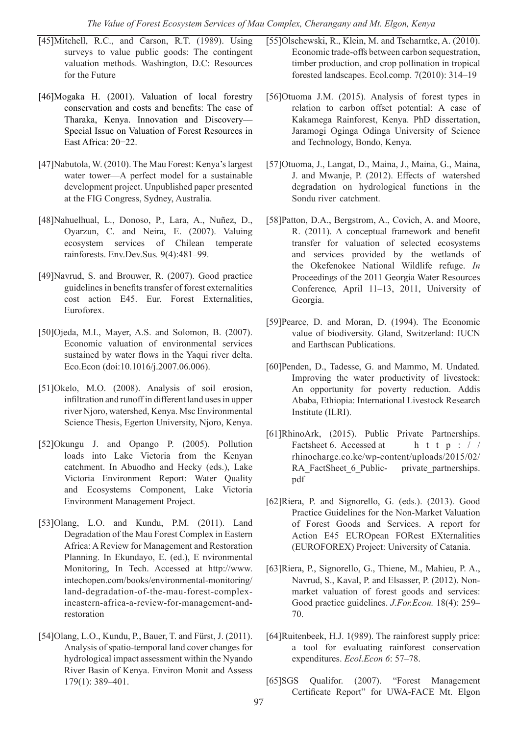- [45]Mitchell, R.C., and Carson, R.T. (1989). Using surveys to value public goods: The contingent valuation methods. Washington, D.C: Resources for the Future
- [46]Mogaka H. (2001). Valuation of local forestry conservation and costs and benefits: The case of Tharaka, Kenya. Innovation and Discovery–– Special Issue on Valuation of Forest Resources in East Africa: 20−22.
- [47]Nabutola, W. (2010). The Mau Forest: Kenya's largest water tower—A perfect model for a sustainable development project. Unpublished paper presented at the FIG Congress, Sydney, Australia.
- [48]Nahuelhual, L., Donoso, P., Lara, A., Nuñez, D., Oyarzun, C. and Neira, E. (2007). Valuing ecosystem services of Chilean temperate rainforests. Env.Dev.Sus*.* 9(4):481–99.
- [49]Navrud, S. and Brouwer, R. (2007). Good practice guidelines in benefits transfer of forest externalities cost action E45. Eur. Forest Externalities, Euroforex.
- [50]Ojeda, M.I., Mayer, A.S. and Solomon, B. (2007). Economic valuation of environmental services sustained by water flows in the Yaqui river delta. Eco.Econ (doi:10.1016/j.2007.06.006).
- [51]Okelo, M.O. (2008). Analysis of soil erosion, infiltration and runoff in different land uses in upper river Njoro, watershed, Kenya. Msc Environmental Science Thesis, Egerton University, Njoro, Kenya.
- [52]Okungu J. and Opango P. (2005). Pollution loads into Lake Victoria from the Kenyan catchment. In Abuodho and Hecky (eds.), Lake Victoria Environment Report: Water Quality and Ecosystems Component, Lake Victoria Environment Management Project.
- [53]Olang, L.O. and Kundu, P.M. (2011). Land Degradation of the Mau Forest Complex in Eastern Africa: A Review for Management and Restoration Planning. In Ekundayo, E. (ed.), E nvironmental Monitoring, In Tech. Accessed at http://www. intechopen.com/books/environmental-monitoring/ land-degradation-of-the-mau-forest-complexineastern-africa-a-review-for-management-andrestoration
- [54]Olang, L.O., Kundu, P., Bauer, T. and Fürst, J. (2011). Analysis of spatio-temporal land cover changes for hydrological impact assessment within the Nyando River Basin of Kenya. Environ Monit and Assess 179(1): 389–401.
- [55]Olschewski, R., Klein, M. and Tscharntke, A. (2010). Economic trade-offs between carbon sequestration, timber production, and crop pollination in tropical forested landscapes. Ecol.comp. 7(2010): 314–19
- [56]Otuoma J.M. (2015). Analysis of forest types in relation to carbon offset potential: A case of Kakamega Rainforest, Kenya. PhD dissertation, Jaramogi Oginga Odinga University of Science and Technology, Bondo, Kenya.
- [57]Otuoma, J., Langat, D., Maina, J., Maina, G., Maina, J. and Mwanje, P. (2012). Effects of watershed degradation on hydrological functions in the Sondu river catchment.
- [58]Patton, D.A., Bergstrom, A., Covich, A. and Moore, R. (2011). A conceptual framework and benefit transfer for valuation of selected ecosystems and services provided by the wetlands of the Okefenokee National Wildlife refuge. *In* Proceedings of the 2011 Georgia Water Resources Conference*,* April 11–13, 2011, University of Georgia.
- [59]Pearce, D. and Moran, D. (1994). The Economic value of biodiversity. Gland, Switzerland: IUCN and Earthscan Publications.
- [60]Penden, D., Tadesse, G. and Mammo, M. Undated*.*  Improving the water productivity of livestock: An opportunity for poverty reduction. Addis Ababa, Ethiopia: International Livestock Research Institute (ILRI).
- [61]RhinoArk, (2015). Public Private Partnerships. Factsheet 6. Accessed at h t t p : / / rhinocharge.co.ke/wp-content/uploads/2015/02/ RA\_FactSheet\_6\_Public- private\_partnerships. pdf
- [62]Riera, P. and Signorello, G. (eds.). (2013). Good Practice Guidelines for the Non-Market Valuation of Forest Goods and Services. A report for Action E45 EUROpean FORest EXternalities (EUROFOREX) Project: University of Catania.
- [63]Riera, P., Signorello, G., Thiene, M., Mahieu, P. A., Navrud, S., Kaval, P. and Elsasser, P. (2012). Nonmarket valuation of forest goods and services: Good practice guidelines. *J.For.Econ.* 18(4): 259– 70.
- [64]Ruitenbeek, H.J. 1(989). The rainforest supply price: a tool for evaluating rainforest conservation expenditures. *Ecol.Econ 6*: 57–78.
- [65]SGS Qualifor. (2007). "Forest Management Certificate Report" for UWA-FACE Mt. Elgon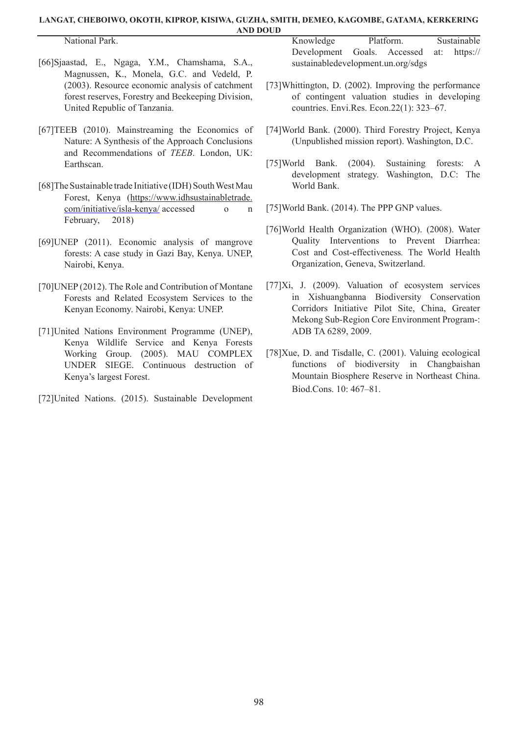National Park.

[66]Sjaastad, E., Ngaga, Y.M., Chamshama, S.A., Magnussen, K., Monela, G.C. and Vedeld, P. (2003). Resource economic analysis of catchment forest reserves, Forestry and Beekeeping Division, United Republic of Tanzania.

- [67]TEEB (2010). Mainstreaming the Economics of Nature: A Synthesis of the Approach Conclusions and Recommendations of *TEEB*. London, UK: Earthscan.
- [68]The Sustainable trade Initiative (IDH) South West Mau Forest, Kenya (https://www.idhsustainabletrade. com/initiative/isla-kenya/ accessed o n February, 2018)
- [69]UNEP (2011). Economic analysis of mangrove forests: A case study in Gazi Bay, Kenya. UNEP, Nairobi, Kenya.
- [70]UNEP (2012). The Role and Contribution of Montane Forests and Related Ecosystem Services to the Kenyan Economy. Nairobi, Kenya: UNEP.
- [71]United Nations Environment Programme (UNEP), Kenya Wildlife Service and Kenya Forests Working Group. (2005). MAU COMPLEX UNDER SIEGE. Continuous destruction of Kenya's largest Forest.
- [72]United Nations. (2015). Sustainable Development

Knowledge Platform. Sustainable Development Goals. Accessed at: https:// sustainabledevelopment.un.org/sdgs

- [73]Whittington, D. (2002). Improving the performance of contingent valuation studies in developing countries. Envi.Res. Econ.22(1): 323–67.
- [74]World Bank. (2000). Third Forestry Project, Kenya (Unpublished mission report). Washington, D.C.
- [75]World Bank. (2004). Sustaining forests: A development strategy. Washington, D.C: The World Bank.
- [75] World Bank. (2014). The PPP GNP values.
- [76]World Health Organization (WHO). (2008). Water Quality Interventions to Prevent Diarrhea: Cost and Cost-effectiveness*.* The World Health Organization, Geneva, Switzerland.
- [77]Xi, J. (2009). Valuation of ecosystem services in Xishuangbanna Biodiversity Conservation Corridors Initiative Pilot Site, China, Greater Mekong Sub-Region Core Environment Program-: ADB TA 6289, 2009.
- [78]Xue, D. and Tisdalle, C. (2001). Valuing ecological functions of biodiversity in Changbaishan Mountain Biosphere Reserve in Northeast China. Biod.Cons. 10: 467–81.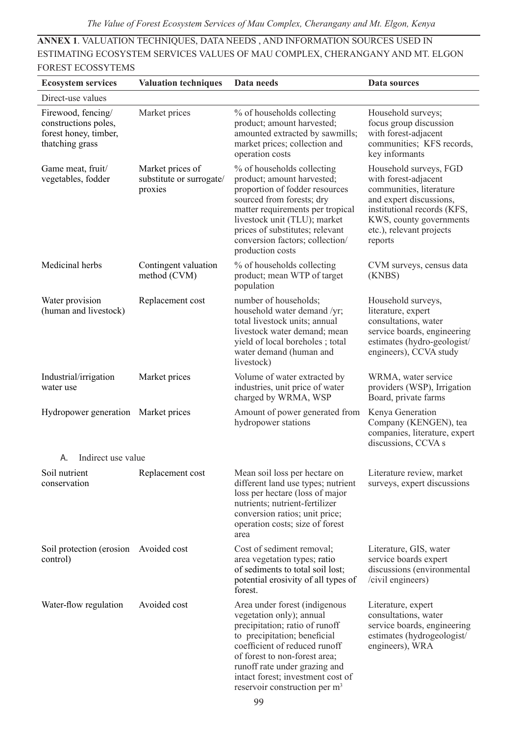**ANNEX 1**. VALUATION TECHNIQUES, DATA NEEDS , AND INFORMATION SOURCES USED IN ESTIMATING ECOSYSTEM SERVICES VALUES OF MAU COMPLEX, CHERANGANY AND MT. ELGON FOREST ECOSSYTEMS

| <b>Ecosystem services</b>                                                              | <b>Valuation techniques</b>                             | Data needs                                                                                                                                                                                                                                                                                                       | Data sources                                                                                                                                                                                          |
|----------------------------------------------------------------------------------------|---------------------------------------------------------|------------------------------------------------------------------------------------------------------------------------------------------------------------------------------------------------------------------------------------------------------------------------------------------------------------------|-------------------------------------------------------------------------------------------------------------------------------------------------------------------------------------------------------|
| Direct-use values                                                                      |                                                         |                                                                                                                                                                                                                                                                                                                  |                                                                                                                                                                                                       |
| Firewood, fencing/<br>constructions poles,<br>forest honey, timber,<br>thatching grass | Market prices                                           | % of households collecting<br>product; amount harvested;<br>amounted extracted by sawmills;<br>market prices; collection and<br>operation costs                                                                                                                                                                  | Household surveys;<br>focus group discussion<br>with forest-adjacent<br>communities; KFS records,<br>key informants                                                                                   |
| Game meat, fruit/<br>vegetables, fodder                                                | Market prices of<br>substitute or surrogate/<br>proxies | % of households collecting<br>product; amount harvested;<br>proportion of fodder resources<br>sourced from forests; dry<br>matter requirements per tropical<br>livestock unit (TLU); market<br>prices of substitutes; relevant<br>conversion factors; collection/<br>production costs                            | Household surveys, FGD<br>with forest-adjacent<br>communities, literature<br>and expert discussions,<br>institutional records (KFS,<br>KWS, county governments<br>etc.), relevant projects<br>reports |
| Medicinal herbs                                                                        | Contingent valuation<br>method (CVM)                    | % of households collecting<br>product; mean WTP of target<br>population                                                                                                                                                                                                                                          | CVM surveys, census data<br>(KNBS)                                                                                                                                                                    |
| Water provision<br>(human and livestock)                                               | Replacement cost                                        | number of households;<br>household water demand /yr;<br>total livestock units; annual<br>livestock water demand; mean<br>yield of local boreholes; total<br>water demand (human and<br>livestock)                                                                                                                | Household surveys,<br>literature, expert<br>consultations, water<br>service boards, engineering<br>estimates (hydro-geologist/<br>engineers), CCVA study                                              |
| Industrial/irrigation<br>water use                                                     | Market prices                                           | Volume of water extracted by<br>industries, unit price of water<br>charged by WRMA, WSP                                                                                                                                                                                                                          | WRMA, water service<br>providers (WSP), Irrigation<br>Board, private farms                                                                                                                            |
| Hydropower generation Market prices                                                    |                                                         | Amount of power generated from<br>hydropower stations                                                                                                                                                                                                                                                            | Kenya Generation<br>Company (KENGEN), tea<br>companies, literature, expert<br>discussions, CCVA s                                                                                                     |
| Indirect use value<br>А.                                                               |                                                         |                                                                                                                                                                                                                                                                                                                  |                                                                                                                                                                                                       |
| Soil nutrient<br>conservation                                                          | Replacement cost                                        | Mean soil loss per hectare on<br>different land use types; nutrient<br>loss per hectare (loss of major<br>nutrients; nutrient-fertilizer<br>conversion ratios; unit price;<br>operation costs; size of forest<br>area                                                                                            | Literature review, market<br>surveys, expert discussions                                                                                                                                              |
| Soil protection (erosion Avoided cost<br>control)                                      |                                                         | Cost of sediment removal;<br>area vegetation types; ratio<br>of sediments to total soil lost;<br>potential erosivity of all types of<br>forest.                                                                                                                                                                  | Literature, GIS, water<br>service boards expert<br>discussions (environmental<br>/civil engineers)                                                                                                    |
| Water-flow regulation                                                                  | Avoided cost                                            | Area under forest (indigenous<br>vegetation only); annual<br>precipitation; ratio of runoff<br>to precipitation; beneficial<br>coefficient of reduced runoff<br>of forest to non-forest area:<br>runoff rate under grazing and<br>intact forest; investment cost of<br>reservoir construction per m <sup>3</sup> | Literature, expert<br>consultations, water<br>service boards, engineering<br>estimates (hydrogeologist/<br>engineers), WRA                                                                            |